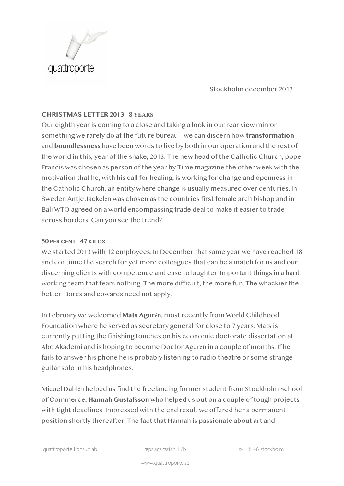

Stockholm december 2013

## **CHRISTMAS LETTER 2013** - **8 YEARS**

Our eighth year is coming to a close and taking a look in our rear view mirror – something we rarely do at the future bureau – we can discern how **transformation** and **boundlessness** have been words to live by both in our operation and the rest of the world in this, year of the snake, 2013. The new head of the Catholic Church, pope Francis was chosen as person of the year by Time magazine the other week with the motivation that he, with his call for healing, is working for change and openness in the Catholic Church, an entity where change is usually measured over centuries. In Sweden Antje Jackelén was chosen as the countries first female arch bishop and in Bali WTO agreed on a world encompassing trade deal to make it easier to trade across borders. Can you see the trend?

#### **50 PER CENT – 47 KILOS**

We started 2013 with 12 employees. In December that same year we have reached 18 and continue the search for yet more colleagues that can be a match for us and our discerning clients with competence and ease to laughter. Important things in a hard working team that fears nothing. The more difficult, the more fun. The whackier the better. Bores and cowards need not apply.

In February we welcomed **Mats Agurén,** most recently from World Childhood Foundation where he served as secretary general for close to 7 years. Mats is currently putting the finishing touches on his economie doctorate dissertation at Åbo Akademi and is hoping to become Doctor Agurén in a couple of months. If he fails to answer his phone he is probably listening to radio theatre or some strange guitar solo in his headphones.

Micael Dahlén helped us find the freelancing former student from Stockholm School of Commerce, **Hannah Gustafsson** who helped us out on a couple of tough projects with tight deadlines. Impressed with the end result we offered her a permanent position shortly thereafter. The fact that Hannah is passionate about art and

quattroporte konsult ab repslagargatan 17b s-118 46 stockholm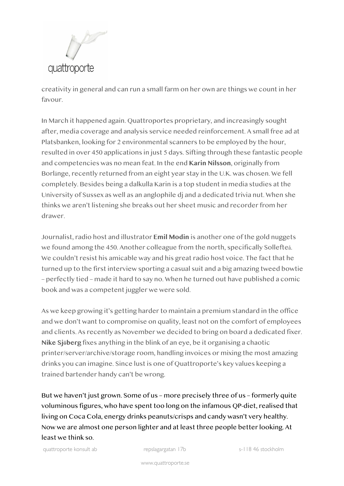

creativity in general and can run a small farm on her own are things we count in her favour.

In March it happened again. Quattroportes proprietary, and increasingly sought after, media coverage and analysis service needed reinforcement. A small free ad at Platsbanken, looking for 2 environmental scanners to be employed by the hour, resulted in over 450 applications in just 5 days. Sifting through these fantastic people and competencies was no mean feat. In the end **Karin Nilsson**, originally from Borlänge, recently returned from an eight year stay in the U.K. was chosen. We fell completely. Besides being a dalkulla Karin is a top student in media studies at the University of Sussex as well as an anglophile dj and a dedicated trivia nut. When she thinks we aren't listening she breaks out her sheet music and recorder from her drawer.

Journalist, radio host and illustrator **Emil Modin** is another one of the gold nuggets we found among the 450. Another colleague from the north, specifically Sollefteå. We couldn't resist his amicable way and his great radio host voice. The fact that he turned up to the first interview sporting a casual suit and a big amazing tweed bowtie – perfectly tied – made it hard to say no. When he turned out have published a comic book and was a competent juggler we were sold.

As we keep growing it's getting harder to maintain a premium standard in the office and we don't want to compromise on quality, least not on the comfort of employees and clients. As recently as November we decided to bring on board a dedicated fixer. **Nike Sjöberg** fixes anything in the blink of an eye, be it organising a chaotic printer/server/archive/storage room, handling invoices or mixing the most amazing drinks you can imagine. Since lust is one of Quattroporte's key values keeping a trained bartender handy can't be wrong.

But we haven't just grown. Some of us – more precisely three of us – formerly quite voluminous figures, who have spent too long on the infamous QP-diet, realised that living on Coca Cola, energy drinks peanuts/crisps and candy wasn't very healthy. Now we are almost one person lighter and at least three people better looking. At least we think so.

quattroporte konsult ab repslagargatan 17b s-118 46 stockholm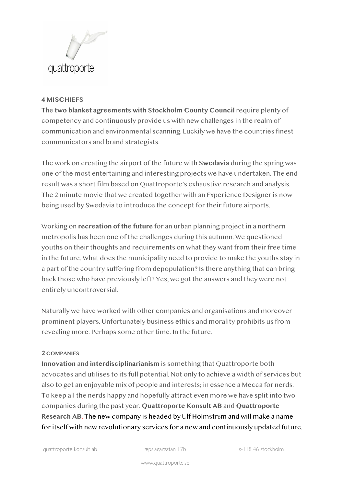

## **4 MISCHIEFS**

The **two blanket agreements with Stockholm County Council** require plenty of competency and continuously provide us with new challenges in the realm of communication and environmental scanning. Luckily we have the countries finest communicators and brand strategists.

The work on creating the airport of the future with **Swedavia** during the spring was one of the most entertaining and interesting projects we have undertaken. The end result was a short film based on Quattroporte's exhaustive research and analysis. The 2 minute movie that we created together with an Experience Designer is now being used by Swedavia to introduce the concept for their future airports.

Working on **recreation of the future** for an urban planning project in a northern metropolis has been one of the challenges during this autumn. We questioned youths on their thoughts and requirements on what they want from their free time in the future. What does the municipality need to provide to make the youths stay in a part of the country suffering from depopulation? Is there anything that can bring back those who have previously left? Yes, we got the answers and they were not entirely uncontroversial.

Naturally we have worked with other companies and organisations and moreover prominent players. Unfortunately business ethics and morality prohibits us from revealing more. Perhaps some other time. In the future.

## **2 COMPANIES**

**Innovation** and **interdisciplinarianism** is something that Quattroporte both advocates and utilises to its full potential. Not only to achieve a width of services but also to get an enjoyable mix of people and interests; in essence a Mecca for nerds. To keep all the nerds happy and hopefully attract even more we have split into two companies during the past year. **Quattroporte Konsult AB** and **Quattroporte Research AB**. The new company is headed by Ulf Holmström and will make a name for itself with new revolutionary services for a new and continuously updated future.

quattroporte konsult ab repslagargatan 17b s-118 46 stockholm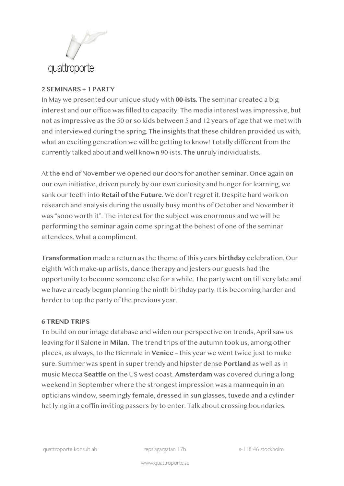

## **2 SEMINARS + 1 PARTY**

In May we presented our unique study with **00-ists**. The seminar created a big interest and our office was filled to capacity. The media interest was impressive, but not as impressive as the 50 or so kids between 5 and 12 years of age that we met with and interviewed during the spring. The insights that these children provided us with, what an exciting generation we will be getting to know! Totally different from the currently talked about and well known 90-ists. The unruly individualists.

At the end of November we opened our doors for another seminar. Once again on our own initiative, driven purely by our own curiosity and hunger for learning, we sank our teeth into **Retail of the Future.** We don't regret it. Despite hard work on research and analysis during the usually busy months of October and November it was "sooo worth it". The interest for the subject was enormous and we will be performing the seminar again come spring at the behest of one of the seminar attendees. What a compliment.

**Transformation** made a return as the theme of this years **birthday** celebration. Our eighth. With make-up artists, dance therapy and jesters our guests had the opportunity to become someone else for a while. The party went on till very late and we have already begun planning the ninth birthday party. It is becoming harder and harder to top the party of the previous year.

## **6 TREND TRIPS**

To build on our image database and widen our perspective on trends, April saw us leaving for Il Salone in **Milan**. The trend trips of the autumn took us, among other places, as always, to the Biennale in **Venice** – this year we went twice just to make sure. Summer was spent in super trendy and hipster dense **Portland** as well as in music Mecca **Seattle** on the US west coast. **Amsterdam** was covered during a long weekend in September where the strongest impression was a mannequin in an opticians window, seemingly female, dressed in sun glasses, tuxedo and a cylinder hat lying in a coffin inviting passers by to enter. Talk about crossing boundaries.